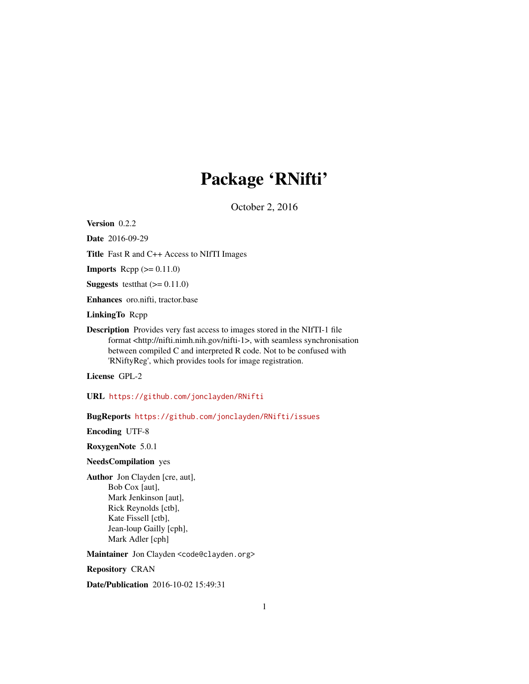## Package 'RNifti'

October 2, 2016

Version 0.2.2

Date 2016-09-29

Title Fast R and C++ Access to NIfTI Images

**Imports** Rcpp  $(>= 0.11.0)$ 

**Suggests** test that  $(>= 0.11.0)$ 

Enhances oro.nifti, tractor.base

LinkingTo Rcpp

Description Provides very fast access to images stored in the NIfTI-1 file format <http://nifti.nimh.nih.gov/nifti-1>, with seamless synchronisation between compiled C and interpreted R code. Not to be confused with 'RNiftyReg', which provides tools for image registration.

License GPL-2

URL <https://github.com/jonclayden/RNifti>

BugReports <https://github.com/jonclayden/RNifti/issues>

Encoding UTF-8

RoxygenNote 5.0.1

#### NeedsCompilation yes

Author Jon Clayden [cre, aut], Bob Cox [aut], Mark Jenkinson [aut], Rick Reynolds [ctb], Kate Fissell [ctb], Jean-loup Gailly [cph], Mark Adler [cph]

Maintainer Jon Clayden <code@clayden.org>

Repository CRAN

Date/Publication 2016-10-02 15:49:31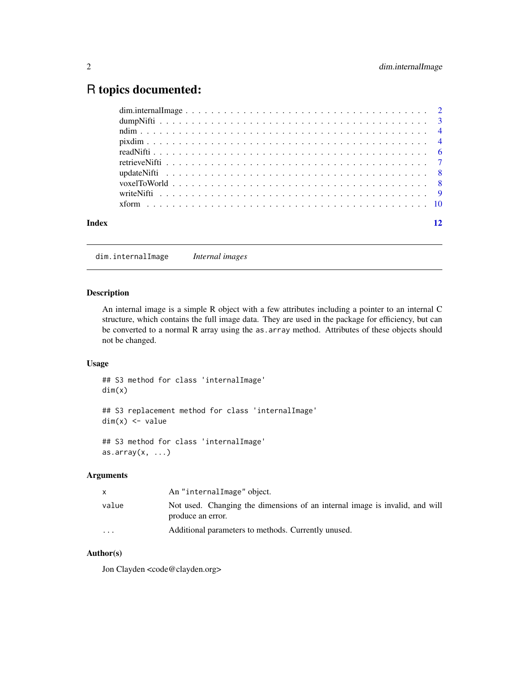### <span id="page-1-0"></span>R topics documented:

dim.internalImage *Internal images*

#### Description

An internal image is a simple R object with a few attributes including a pointer to an internal C structure, which contains the full image data. They are used in the package for efficiency, but can be converted to a normal R array using the as.array method. Attributes of these objects should not be changed.

#### Usage

## S3 method for class 'internalImage' dim(x)

## S3 replacement method for class 'internalImage'  $dim(x)$  <- value

## S3 method for class 'internalImage'  $as.array(x, \ldots)$ 

#### Arguments

| x.                      | An "internalImage" object.                                                                       |
|-------------------------|--------------------------------------------------------------------------------------------------|
| value                   | Not used. Changing the dimensions of an internal image is invalid, and will<br>produce an error. |
| $\cdot$ $\cdot$ $\cdot$ | Additional parameters to methods. Currently unused.                                              |

#### Author(s)

Jon Clayden <code@clayden.org>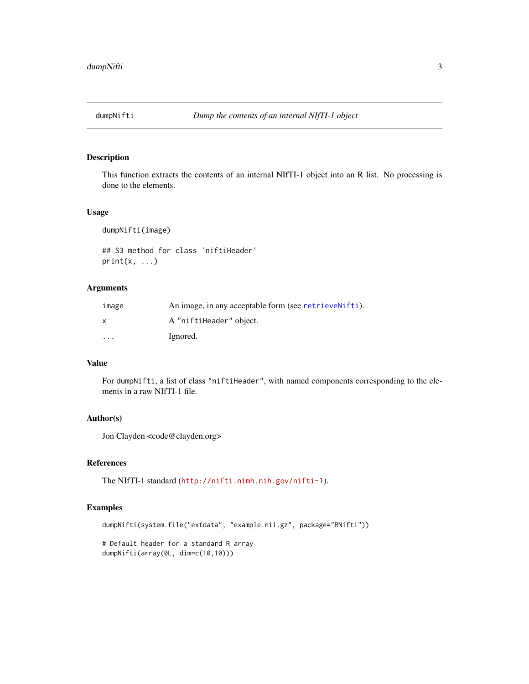<span id="page-2-1"></span><span id="page-2-0"></span>

This function extracts the contents of an internal NIfTI-1 object into an R list. No processing is done to the elements.

#### Usage

dumpNifti(image)

## S3 method for class 'niftiHeader'  $print(x, \ldots)$ 

#### Arguments

| image                   | An image, in any acceptable form (see retrieve Nifti). |
|-------------------------|--------------------------------------------------------|
| X                       | A "niftiHeader" object.                                |
| $\cdot$ $\cdot$ $\cdot$ | Ignored.                                               |

#### Value

For dumpNifti, a list of class "niftiHeader", with named components corresponding to the elements in a raw NIfTI-1 file.

#### Author(s)

Jon Clayden <code@clayden.org>

#### References

The NIfTI-1 standard (<http://nifti.nimh.nih.gov/nifti-1>).

#### Examples

```
dumpNifti(system.file("extdata", "example.nii.gz", package="RNifti"))
```
# Default header for a standard R array dumpNifti(array(0L, dim=c(10,10)))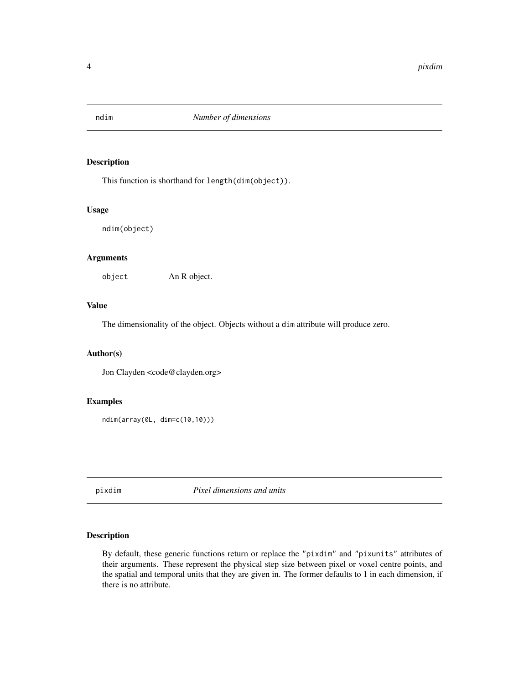<span id="page-3-0"></span>

This function is shorthand for length(dim(object)).

#### Usage

ndim(object)

#### Arguments

object An R object.

#### Value

The dimensionality of the object. Objects without a dim attribute will produce zero.

#### Author(s)

Jon Clayden <code@clayden.org>

#### Examples

ndim(array(0L, dim=c(10,10)))

<span id="page-3-2"></span>pixdim *Pixel dimensions and units*

#### <span id="page-3-1"></span>Description

By default, these generic functions return or replace the "pixdim" and "pixunits" attributes of their arguments. These represent the physical step size between pixel or voxel centre points, and the spatial and temporal units that they are given in. The former defaults to 1 in each dimension, if there is no attribute.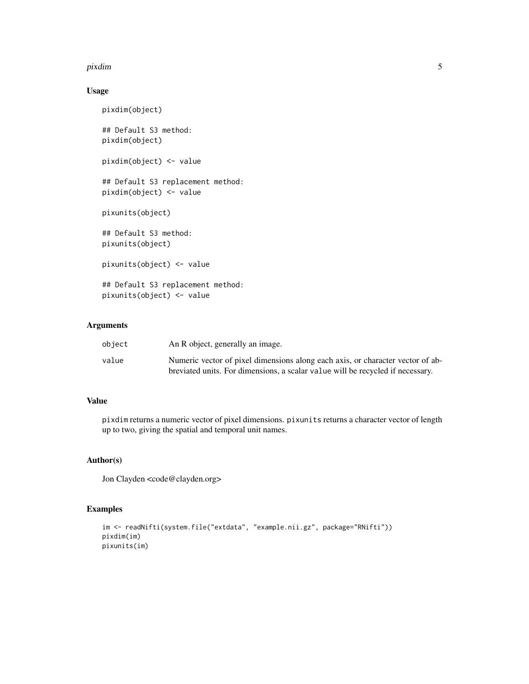#### pixdim 5

#### Usage

```
pixdim(object)
## Default S3 method:
pixdim(object)
pixdim(object) <- value
## Default S3 replacement method:
pixdim(object) <- value
pixunits(object)
## Default S3 method:
pixunits(object)
pixunits(object) <- value
## Default S3 replacement method:
pixunits(object) <- value
```
#### Arguments

| obiect | An R object, generally an image.                                               |
|--------|--------------------------------------------------------------------------------|
| value  | Numeric vector of pixel dimensions along each axis, or character vector of ab- |
|        | breviated units. For dimensions, a scalar value will be recycled if necessary. |

#### Value

pixdim returns a numeric vector of pixel dimensions. pixunits returns a character vector of length up to two, giving the spatial and temporal unit names.

#### Author(s)

Jon Clayden <code@clayden.org>

#### Examples

```
im <- readNifti(system.file("extdata", "example.nii.gz", package="RNifti"))
pixdim(im)
pixunits(im)
```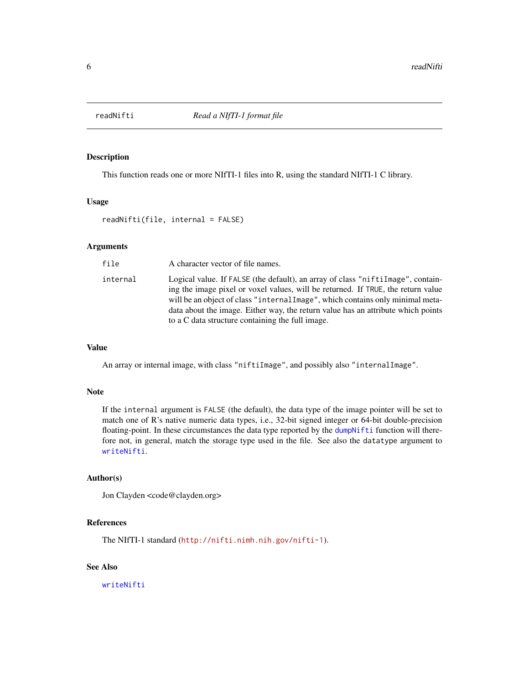<span id="page-5-1"></span><span id="page-5-0"></span>

This function reads one or more NIfTI-1 files into R, using the standard NIfTI-1 C library.

#### Usage

readNifti(file, internal = FALSE)

#### Arguments

| file     | A character vector of file names.                                                                                                                                                                                                                                                                                                                                                             |
|----------|-----------------------------------------------------------------------------------------------------------------------------------------------------------------------------------------------------------------------------------------------------------------------------------------------------------------------------------------------------------------------------------------------|
| internal | Logical value. If FALSE (the default), an array of class "niftilmage", contain-<br>ing the image pixel or voxel values, will be returned. If TRUE, the return value<br>will be an object of class "internal Image", which contains only minimal meta-<br>data about the image. Either way, the return value has an attribute which points<br>to a C data structure containing the full image. |

#### Value

An array or internal image, with class "niftiImage", and possibly also "internalImage".

#### Note

If the internal argument is FALSE (the default), the data type of the image pointer will be set to match one of R's native numeric data types, i.e., 32-bit signed integer or 64-bit double-precision floating-point. In these circumstances the data type reported by the [dumpNifti](#page-2-1) function will therefore not, in general, match the storage type used in the file. See also the datatype argument to [writeNifti](#page-8-1).

#### Author(s)

Jon Clayden <code@clayden.org>

#### References

The NIfTI-1 standard (<http://nifti.nimh.nih.gov/nifti-1>).

#### See Also

[writeNifti](#page-8-1)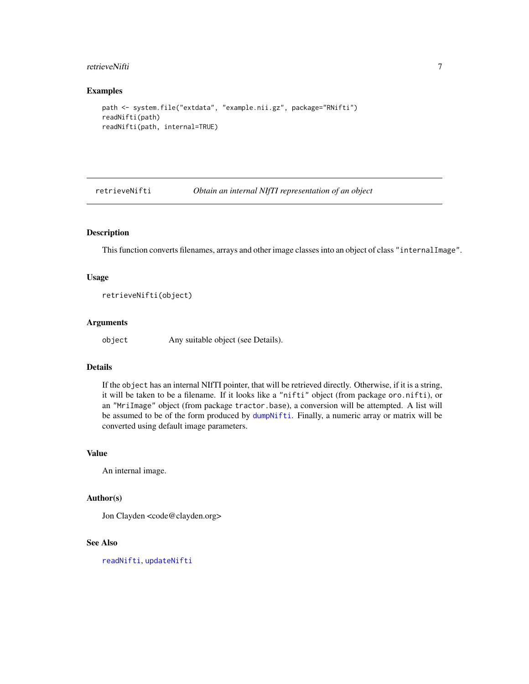#### <span id="page-6-0"></span>retrieveNifti 7

#### Examples

```
path <- system.file("extdata", "example.nii.gz", package="RNifti")
readNifti(path)
readNifti(path, internal=TRUE)
```
<span id="page-6-1"></span>retrieveNifti *Obtain an internal NIfTI representation of an object*

#### Description

This function converts filenames, arrays and other image classes into an object of class "internalImage".

#### Usage

```
retrieveNifti(object)
```
#### Arguments

object Any suitable object (see Details).

#### Details

If the object has an internal NIfTI pointer, that will be retrieved directly. Otherwise, if it is a string, it will be taken to be a filename. If it looks like a "nifti" object (from package oro.nifti), or an "MriImage" object (from package tractor.base), a conversion will be attempted. A list will be assumed to be of the form produced by [dumpNifti](#page-2-1). Finally, a numeric array or matrix will be converted using default image parameters.

#### Value

An internal image.

#### Author(s)

Jon Clayden <code@clayden.org>

#### See Also

[readNifti](#page-5-1), [updateNifti](#page-7-1)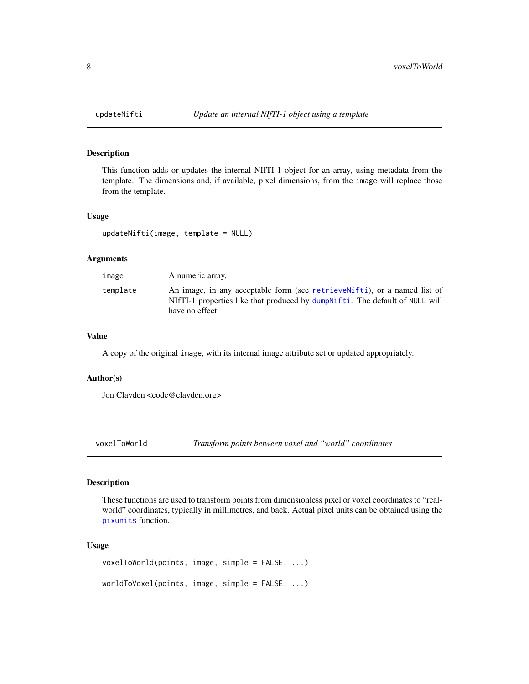<span id="page-7-1"></span><span id="page-7-0"></span>

This function adds or updates the internal NIfTI-1 object for an array, using metadata from the template. The dimensions and, if available, pixel dimensions, from the image will replace those from the template.

#### Usage

updateNifti(image, template = NULL)

#### Arguments

| image    | A numeric array.                                                                                                                                                            |
|----------|-----------------------------------------------------------------------------------------------------------------------------------------------------------------------------|
| template | An image, in any acceptable form (see retrievengthere in a named list of<br>NIfTI-1 properties like that produced by dumpNifti. The default of NULL will<br>have no effect. |

#### Value

A copy of the original image, with its internal image attribute set or updated appropriately.

#### Author(s)

Jon Clayden <code@clayden.org>

voxelToWorld *Transform points between voxel and "world" coordinates*

#### Description

These functions are used to transform points from dimensionless pixel or voxel coordinates to "realworld" coordinates, typically in millimetres, and back. Actual pixel units can be obtained using the [pixunits](#page-3-1) function.

#### Usage

```
voxelToWorld(points, image, simple = FALSE, ...)
worldToVoxel(points, image, simple = FALSE, ...)
```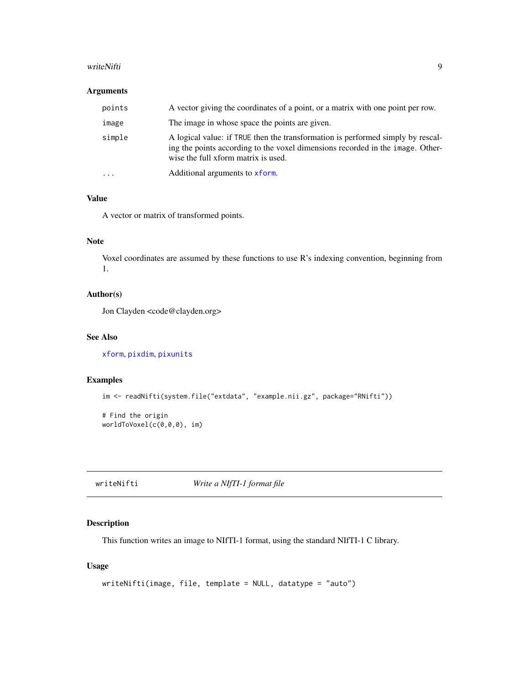#### <span id="page-8-0"></span>writeNifti 99 april 1999 - 1999 - 1999 - 1999 - 1999 - 1999 - 1999 - 1999 - 1999 - 1999 - 1999 - 1999 - 1999 -

#### Arguments

| points   | A vector giving the coordinates of a point, or a matrix with one point per row.                                                                                                                          |
|----------|----------------------------------------------------------------------------------------------------------------------------------------------------------------------------------------------------------|
| image    | The image in whose space the points are given.                                                                                                                                                           |
| simple   | A logical value: if TRUE then the transformation is performed simply by rescal-<br>ing the points according to the voxel dimensions recorded in the image. Other-<br>wise the full xform matrix is used. |
| $\cdots$ | Additional arguments to xform.                                                                                                                                                                           |

#### Value

A vector or matrix of transformed points.

#### Note

Voxel coordinates are assumed by these functions to use R's indexing convention, beginning from 1.

#### Author(s)

Jon Clayden <code@clayden.org>

#### See Also

[xform](#page-9-1), [pixdim](#page-3-2), [pixunits](#page-3-1)

#### Examples

```
im <- readNifti(system.file("extdata", "example.nii.gz", package="RNifti"))
# Find the origin
worldToVoxel(c(0,0,0), im)
```
<span id="page-8-1"></span>writeNifti *Write a NIfTI-1 format file*

#### Description

This function writes an image to NIfTI-1 format, using the standard NIfTI-1 C library.

#### Usage

```
writeNifti(image, file, template = NULL, datatype = "auto")
```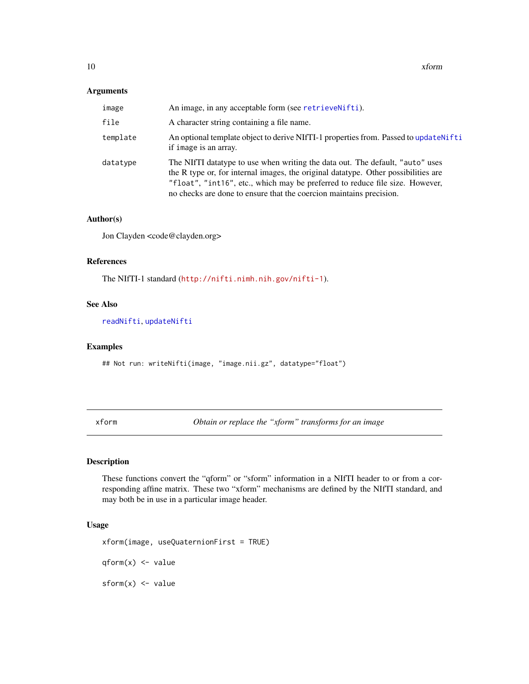#### <span id="page-9-0"></span>Arguments

| image    | An image, in any acceptable form (see retrievenifti).                                                                                                                                                                                                                                                                      |
|----------|----------------------------------------------------------------------------------------------------------------------------------------------------------------------------------------------------------------------------------------------------------------------------------------------------------------------------|
| file     | A character string containing a file name.                                                                                                                                                                                                                                                                                 |
| template | An optional template object to derive NIfTI-1 properties from. Passed to update Nifti<br>if image is an array.                                                                                                                                                                                                             |
| datatype | The NIfTI datatype to use when writing the data out. The default, "auto" uses<br>the R type or, for internal images, the original datatype. Other possibilities are<br>"float", "int16", etc., which may be preferred to reduce file size. However,<br>no checks are done to ensure that the coercion maintains precision. |

#### Author(s)

Jon Clayden <code@clayden.org>

#### References

The NIfTI-1 standard (<http://nifti.nimh.nih.gov/nifti-1>).

#### See Also

[readNifti](#page-5-1), [updateNifti](#page-7-1)

#### Examples

## Not run: writeNifti(image, "image.nii.gz", datatype="float")

<span id="page-9-1"></span>xform *Obtain or replace the "xform" transforms for an image*

#### Description

These functions convert the "qform" or "sform" information in a NIfTI header to or from a corresponding affine matrix. These two "xform" mechanisms are defined by the NIfTI standard, and may both be in use in a particular image header.

#### Usage

```
xform(image, useQuaternionFirst = TRUE)
```
qform(x) <- value

 $sform(x) < - value$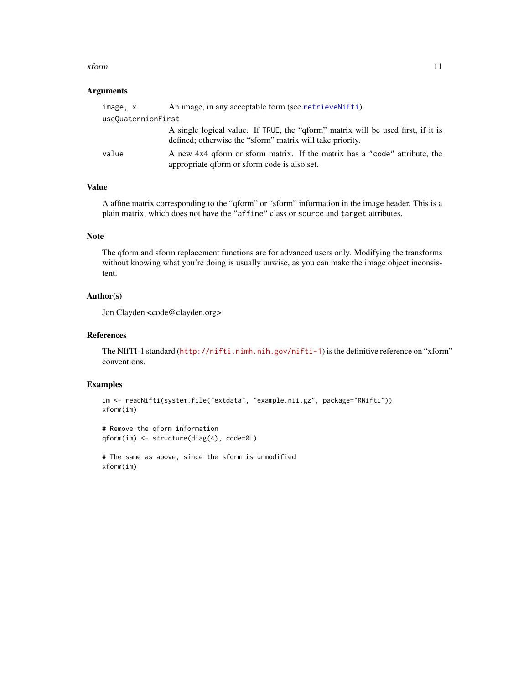#### <span id="page-10-0"></span>xform and the state of the state of the state of the state of the state of the state of the state of the state of the state of the state of the state of the state of the state of the state of the state of the state of the

#### Arguments

| image, x           | An image, in any acceptable form (see retrievengthelight).                                                                                    |
|--------------------|-----------------------------------------------------------------------------------------------------------------------------------------------|
| useQuaternionFirst |                                                                                                                                               |
|                    | A single logical value. If TRUE, the "qform" matrix will be used first, if it is<br>defined; otherwise the "sform" matrix will take priority. |
| value              | A new 4x4 gform or sform matrix. If the matrix has a "code" attribute, the<br>appropriate qform or sform code is also set.                    |

#### Value

A affine matrix corresponding to the "qform" or "sform" information in the image header. This is a plain matrix, which does not have the "affine" class or source and target attributes.

#### Note

The qform and sform replacement functions are for advanced users only. Modifying the transforms without knowing what you're doing is usually unwise, as you can make the image object inconsistent.

#### Author(s)

Jon Clayden <code@clayden.org>

#### References

The NIfTI-1 standard (<http://nifti.nimh.nih.gov/nifti-1>) is the definitive reference on "xform" conventions.

#### Examples

```
im <- readNifti(system.file("extdata", "example.nii.gz", package="RNifti"))
xform(im)
```

```
# Remove the qform information
qform(im) <- structure(diag(4), code=0L)
```
# The same as above, since the sform is unmodified xform(im)